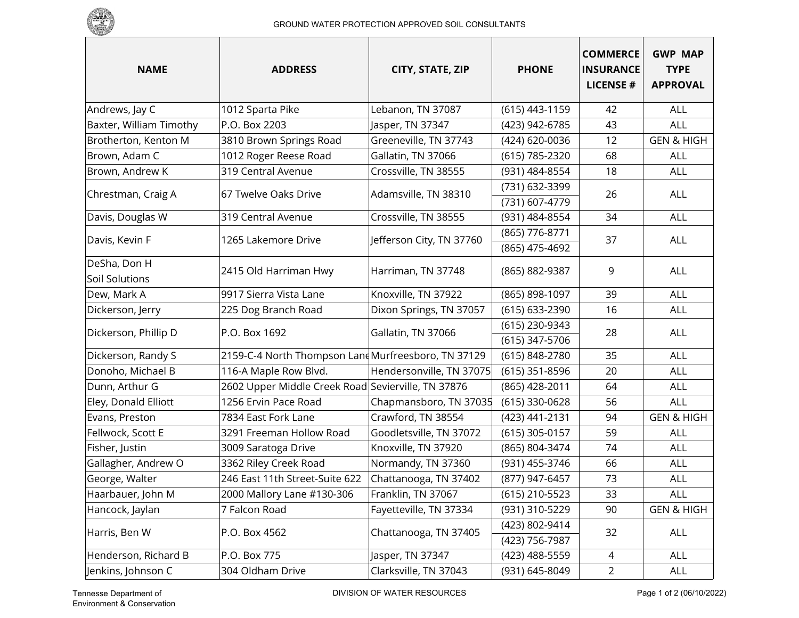

| <b>NAME</b>                           | <b>ADDRESS</b>                                      | CITY, STATE, ZIP         | <b>PHONE</b>                     | <b>COMMERCE</b><br><b>INSURANCE</b><br><b>LICENSE#</b> | <b>GWP MAP</b><br><b>TYPE</b><br><b>APPROVAL</b> |
|---------------------------------------|-----------------------------------------------------|--------------------------|----------------------------------|--------------------------------------------------------|--------------------------------------------------|
| Andrews, Jay C                        | 1012 Sparta Pike                                    | Lebanon, TN 37087        | (615) 443-1159                   | 42                                                     | <b>ALL</b>                                       |
| Baxter, William Timothy               | P.O. Box 2203                                       | Jasper, TN 37347         | (423) 942-6785                   | 43                                                     | ALL                                              |
| Brotherton, Kenton M                  | 3810 Brown Springs Road                             | Greeneville, TN 37743    | (424) 620-0036                   | 12                                                     | <b>GEN &amp; HIGH</b>                            |
| Brown, Adam C                         | 1012 Roger Reese Road                               | Gallatin, TN 37066       | (615) 785-2320                   | 68                                                     | <b>ALL</b>                                       |
| Brown, Andrew K                       | 319 Central Avenue                                  | Crossville, TN 38555     | (931) 484-8554                   | 18                                                     | ALL                                              |
| Chrestman, Craig A                    | 67 Twelve Oaks Drive                                | Adamsville, TN 38310     | (731) 632-3399<br>(731) 607-4779 | 26                                                     | ALL                                              |
| Davis, Douglas W                      | 319 Central Avenue                                  | Crossville, TN 38555     | (931) 484-8554                   | 34                                                     | ALL                                              |
| Davis, Kevin F                        | 1265 Lakemore Drive                                 | Jefferson City, TN 37760 | (865) 776-8771<br>(865) 475-4692 | 37                                                     | <b>ALL</b>                                       |
| DeSha, Don H<br><b>Soil Solutions</b> | 2415 Old Harriman Hwy                               | Harriman, TN 37748       | (865) 882-9387                   | 9                                                      | ALL                                              |
| Dew, Mark A                           | 9917 Sierra Vista Lane                              | Knoxville, TN 37922      | (865) 898-1097                   | 39                                                     | ALL                                              |
| Dickerson, Jerry                      | 225 Dog Branch Road                                 | Dixon Springs, TN 37057  | (615) 633-2390                   | 16                                                     | ALL                                              |
| Dickerson, Phillip D                  | P.O. Box 1692                                       | Gallatin, TN 37066       | (615) 230-9343                   | 28                                                     | <b>ALL</b>                                       |
|                                       |                                                     |                          | (615) 347-5706                   |                                                        |                                                  |
| Dickerson, Randy S                    | 2159-C-4 North Thompson Land Murfreesboro, TN 37129 |                          | (615) 848-2780                   | 35                                                     | ALL                                              |
| Donoho, Michael B                     | 116-A Maple Row Blvd.                               | Hendersonville, TN 37075 | (615) 351-8596                   | 20                                                     | ALL                                              |
| Dunn, Arthur G                        | 2602 Upper Middle Creek Road Sevierville, TN 37876  |                          | (865) 428-2011                   | 64                                                     | <b>ALL</b>                                       |
| Eley, Donald Elliott                  | 1256 Ervin Pace Road                                | Chapmansboro, TN 37035   | (615) 330-0628                   | 56                                                     | ALL                                              |
| Evans, Preston                        | 7834 East Fork Lane                                 | Crawford, TN 38554       | (423) 441-2131                   | 94                                                     | <b>GEN &amp; HIGH</b>                            |
| Fellwock, Scott E                     | 3291 Freeman Hollow Road                            | Goodletsville, TN 37072  | (615) 305-0157                   | 59                                                     | ALL                                              |
| Fisher, Justin                        | 3009 Saratoga Drive                                 | Knoxville, TN 37920      | (865) 804-3474                   | 74                                                     | ALL                                              |
| Gallagher, Andrew O                   | 3362 Riley Creek Road                               | Normandy, TN 37360       | (931) 455-3746                   | 66                                                     | ALL                                              |
| George, Walter                        | 246 East 11th Street-Suite 622                      | Chattanooga, TN 37402    | (877) 947-6457                   | 73                                                     | <b>ALL</b>                                       |
| Haarbauer, John M                     | 2000 Mallory Lane #130-306                          | Franklin, TN 37067       | (615) 210-5523                   | 33                                                     | <b>ALL</b>                                       |
| Hancock, Jaylan                       | 7 Falcon Road                                       | Fayetteville, TN 37334   | (931) 310-5229                   | 90                                                     | <b>GEN &amp; HIGH</b>                            |
| Harris, Ben W                         | P.O. Box 4562                                       | Chattanooga, TN 37405    | (423) 802-9414<br>(423) 756-7987 | 32                                                     | ALL                                              |
| Henderson, Richard B                  | P.O. Box 775                                        | Jasper, TN 37347         | (423) 488-5559                   | 4                                                      | ALL                                              |
| Jenkins, Johnson C                    | 304 Oldham Drive                                    | Clarksville, TN 37043    | (931) 645-8049                   | $\overline{2}$                                         | ALL                                              |